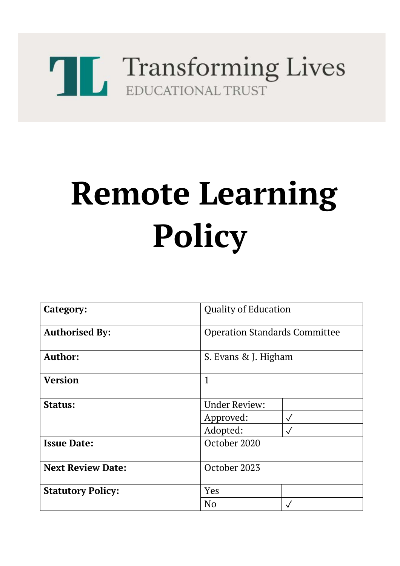# Transforming Lives

## **Remote Learning Policy**

| Category:                | <b>Quality of Education</b>          |              |
|--------------------------|--------------------------------------|--------------|
| <b>Authorised By:</b>    | <b>Operation Standards Committee</b> |              |
| Author:                  | S. Evans & J. Higham                 |              |
| <b>Version</b>           | $\mathbf{1}$                         |              |
| Status:                  | <b>Under Review:</b>                 |              |
|                          | Approved:                            | $\checkmark$ |
|                          | Adopted:                             | $\sqrt{}$    |
| <b>Issue Date:</b>       | October 2020                         |              |
| <b>Next Review Date:</b> | October 2023                         |              |
| <b>Statutory Policy:</b> | <b>Yes</b>                           |              |
|                          | N <sub>o</sub>                       |              |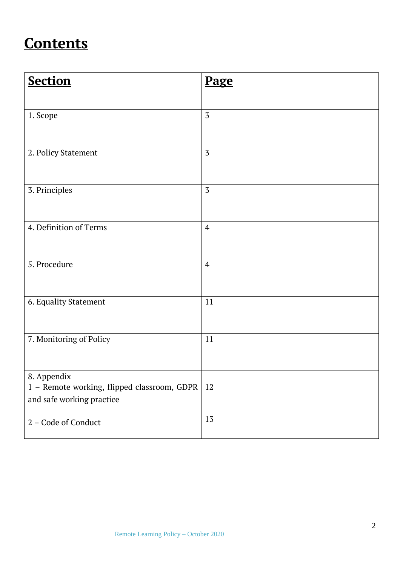### **Contents**

| <b>Section</b>                                                                          | Page           |
|-----------------------------------------------------------------------------------------|----------------|
| 1. Scope                                                                                | $\overline{3}$ |
| 2. Policy Statement                                                                     | $\overline{3}$ |
| 3. Principles                                                                           | $\overline{3}$ |
| 4. Definition of Terms                                                                  | $\overline{4}$ |
| 5. Procedure                                                                            | $\overline{4}$ |
| 6. Equality Statement                                                                   | 11             |
| 7. Monitoring of Policy                                                                 | 11             |
|                                                                                         |                |
| 8. Appendix<br>1 - Remote working, flipped classroom, GDPR<br>and safe working practice | 12             |
| 2 - Code of Conduct                                                                     | 13             |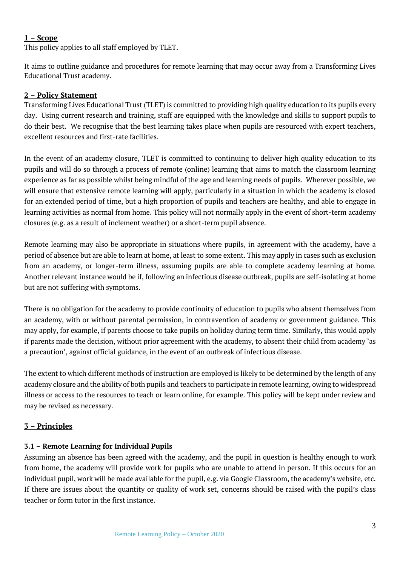#### **1 – Scope**

This policy applies to all staff employed by TLET.

It aims to outline guidance and procedures for remote learning that may occur away from a Transforming Lives Educational Trust academy.

#### **2 – Policy Statement**

Transforming Lives Educational Trust (TLET) is committed to providing high quality education to its pupils every day. Using current research and training, staff are equipped with the knowledge and skills to support pupils to do their best. We recognise that the best learning takes place when pupils are resourced with expert teachers, excellent resources and first-rate facilities.

In the event of an academy closure, TLET is committed to continuing to deliver high quality education to its pupils and will do so through a process of remote (online) learning that aims to match the classroom learning experience as far as possible whilst being mindful of the age and learning needs of pupils. Wherever possible, we will ensure that extensive remote learning will apply, particularly in a situation in which the academy is closed for an extended period of time, but a high proportion of pupils and teachers are healthy, and able to engage in learning activities as normal from home. This policy will not normally apply in the event of short-term academy closures (e.g. as a result of inclement weather) or a short-term pupil absence.

Remote learning may also be appropriate in situations where pupils, in agreement with the academy, have a period of absence but are able to learn at home, at least to some extent. This may apply in cases such as exclusion from an academy, or longer-term illness, assuming pupils are able to complete academy learning at home. Another relevant instance would be if, following an infectious disease outbreak, pupils are self-isolating at home but are not suffering with symptoms.

There is no obligation for the academy to provide continuity of education to pupils who absent themselves from an academy, with or without parental permission, in contravention of academy or government guidance. This may apply, for example, if parents choose to take pupils on holiday during term time. Similarly, this would apply if parents made the decision, without prior agreement with the academy, to absent their child from academy 'as a precaution', against official guidance, in the event of an outbreak of infectious disease.

The extent to which different methods of instruction are employed is likely to be determined by the length of any academy closure and the ability of both pupils and teachers to participate in remote learning, owing to widespread illness or access to the resources to teach or learn online, for example. This policy will be kept under review and may be revised as necessary.

#### **3 – Principles**

#### **3.1 – Remote Learning for Individual Pupils**

Assuming an absence has been agreed with the academy, and the pupil in question is healthy enough to work from home, the academy will provide work for pupils who are unable to attend in person. If this occurs for an individual pupil, work will be made available for the pupil, e.g. via Google Classroom, the academy's website, etc. If there are issues about the quantity or quality of work set, concerns should be raised with the pupil's class teacher or form tutor in the first instance.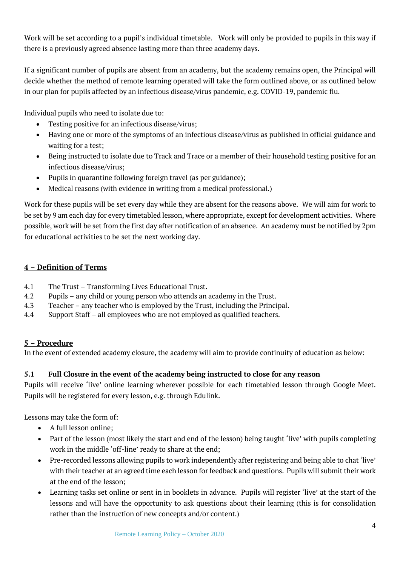Work will be set according to a pupil's individual timetable. Work will only be provided to pupils in this way if there is a previously agreed absence lasting more than three academy days.

If a significant number of pupils are absent from an academy, but the academy remains open, the Principal will decide whether the method of remote learning operated will take the form outlined above, or as outlined below in our plan for pupils affected by an infectious disease/virus pandemic, e.g. COVID-19, pandemic flu.

Individual pupils who need to isolate due to:

- Testing positive for an infectious disease/virus;
- Having one or more of the symptoms of an infectious disease/virus as published in official guidance and waiting for a test;
- Being instructed to isolate due to Track and Trace or a member of their household testing positive for an infectious disease/virus;
- Pupils in quarantine following foreign travel (as per guidance);
- Medical reasons (with evidence in writing from a medical professional.)

Work for these pupils will be set every day while they are absent for the reasons above. We will aim for work to be set by 9 am each day for every timetabled lesson, where appropriate, except for development activities. Where possible, work will be set from the first day after notification of an absence. An academy must be notified by 2pm for educational activities to be set the next working day.

#### **4 – Definition of Terms**

- 4.1 The Trust Transforming Lives Educational Trust.
- 4.2 Pupils any child or young person who attends an academy in the Trust.
- 4.3 Teacher any teacher who is employed by the Trust, including the Principal.
- 4.4 Support Staff all employees who are not employed as qualified teachers.

#### **5 – Procedure**

In the event of extended academy closure, the academy will aim to provide continuity of education as below:

#### **5.1 Full Closure in the event of the academy being instructed to close for any reason**

Pupils will receive 'live' online learning wherever possible for each timetabled lesson through Google Meet. Pupils will be registered for every lesson, e.g. through Edulink.

Lessons may take the form of:

- A full lesson online;
- Part of the lesson (most likely the start and end of the lesson) being taught 'live' with pupils completing work in the middle 'off-line' ready to share at the end;
- Pre-recorded lessons allowing pupils to work independently after registering and being able to chat 'live' with their teacher at an agreed time each lesson for feedback and questions. Pupils will submit their work at the end of the lesson;
- Learning tasks set online or sent in in booklets in advance. Pupils will register 'live' at the start of the lessons and will have the opportunity to ask questions about their learning (this is for consolidation rather than the instruction of new concepts and/or content.)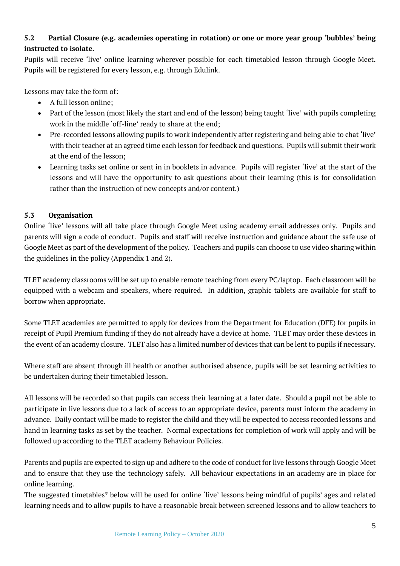#### **5.2 Partial Closure (e.g. academies operating in rotation) or one or more year group 'bubbles' being instructed to isolate.**

Pupils will receive 'live' online learning wherever possible for each timetabled lesson through Google Meet. Pupils will be registered for every lesson, e.g. through Edulink.

Lessons may take the form of:

- A full lesson online;
- Part of the lesson (most likely the start and end of the lesson) being taught 'live' with pupils completing work in the middle 'off-line' ready to share at the end;
- Pre-recorded lessons allowing pupils to work independently after registering and being able to chat 'live' with their teacher at an agreed time each lesson for feedback and questions. Pupils will submit their work at the end of the lesson;
- Learning tasks set online or sent in in booklets in advance. Pupils will register 'live' at the start of the lessons and will have the opportunity to ask questions about their learning (this is for consolidation rather than the instruction of new concepts and/or content.)

#### **5.3 Organisation**

Online 'live' lessons will all take place through Google Meet using academy email addresses only. Pupils and parents will sign a code of conduct. Pupils and staff will receive instruction and guidance about the safe use of Google Meet as part of the development of the policy. Teachers and pupils can choose to use video sharing within the guidelines in the policy (Appendix 1 and 2).

TLET academy classrooms will be set up to enable remote teaching from every PC/laptop. Each classroom will be equipped with a webcam and speakers, where required. In addition, graphic tablets are available for staff to borrow when appropriate.

Some TLET academies are permitted to apply for devices from the Department for Education (DFE) for pupils in receipt of Pupil Premium funding if they do not already have a device at home. TLET may order these devices in the event of an academy closure. TLET also has a limited number of devices that can be lent to pupils if necessary.

Where staff are absent through ill health or another authorised absence, pupils will be set learning activities to be undertaken during their timetabled lesson.

All lessons will be recorded so that pupils can access their learning at a later date. Should a pupil not be able to participate in live lessons due to a lack of access to an appropriate device, parents must inform the academy in advance. Daily contact will be made to register the child and they will be expected to access recorded lessons and hand in learning tasks as set by the teacher. Normal expectations for completion of work will apply and will be followed up according to the TLET academy Behaviour Policies.

Parents and pupils are expected to sign up and adhere to the code of conduct for live lessons through Google Meet and to ensure that they use the technology safely. All behaviour expectations in an academy are in place for online learning.

The suggested timetables\* below will be used for online 'live' lessons being mindful of pupils' ages and related learning needs and to allow pupils to have a reasonable break between screened lessons and to allow teachers to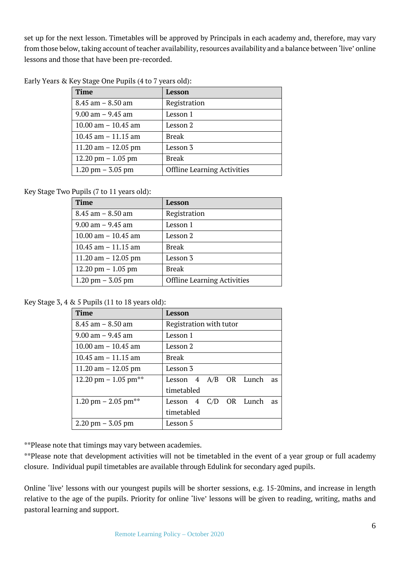set up for the next lesson. Timetables will be approved by Principals in each academy and, therefore, may vary from those below, taking account of teacher availability, resources availability and a balance between 'live' online lessons and those that have been pre-recorded.

| <b>Time</b>           | Lesson                             |
|-----------------------|------------------------------------|
| $8.45$ am $- 8.50$ am | Registration                       |
| $9.00$ am $-9.45$ am  | Lesson 1                           |
| 10.00 am $-$ 10.45 am | Lesson 2                           |
| 10.45 am $-$ 11.15 am | <b>Break</b>                       |
| 11.20 am $-$ 12.05 pm | Lesson 3                           |
| 12.20 pm $- 1.05$ pm  | <b>Break</b>                       |
| $1.20$ pm $- 3.05$ pm | <b>Offline Learning Activities</b> |

Early Years & Key Stage One Pupils (4 to 7 years old):

Key Stage Two Pupils (7 to 11 years old):

| <b>Time</b>           | Lesson                             |
|-----------------------|------------------------------------|
| $8.45$ am $- 8.50$ am | Registration                       |
| $9.00$ am $- 9.45$ am | Lesson 1                           |
| 10.00 am $-$ 10.45 am | Lesson 2                           |
| 10.45 am $-$ 11.15 am | <b>Break</b>                       |
| 11.20 am $-$ 12.05 pm | Lesson 3                           |
| 12.20 pm $-1.05$ pm   | <b>Break</b>                       |
| $1.20$ pm $- 3.05$ pm | <b>Offline Learning Activities</b> |

Key Stage 3, 4 & 5 Pupils (11 to 18 years old):

| <b>Time</b>                         | Lesson                               |
|-------------------------------------|--------------------------------------|
| $8.45$ am $- 8.50$ am               | Registration with tutor              |
| $9.00$ am $-9.45$ am                | Lesson 1                             |
| 10.00 am $-$ 10.45 am               | Lesson 2                             |
| $10.45$ am $-11.15$ am              | <b>Break</b>                         |
| 11.20 am $-$ 12.05 pm               | Lesson 3                             |
| 12.20 pm - 1.05 pm**                | Lesson 4 A/B OR Lunch<br><b>as</b>   |
|                                     | timetabled                           |
| 1.20 pm $-$ 2.05 pm**               | Lesson $4$ C/D OR Lunch<br><b>as</b> |
|                                     | timetabled                           |
| $2.20 \text{ pm} - 3.05 \text{ pm}$ | Lesson 5                             |

\*\*Please note that timings may vary between academies.

\*\*Please note that development activities will not be timetabled in the event of a year group or full academy closure. Individual pupil timetables are available through Edulink for secondary aged pupils.

Online 'live' lessons with our youngest pupils will be shorter sessions, e.g. 15-20mins, and increase in length relative to the age of the pupils. Priority for online 'live' lessons will be given to reading, writing, maths and pastoral learning and support.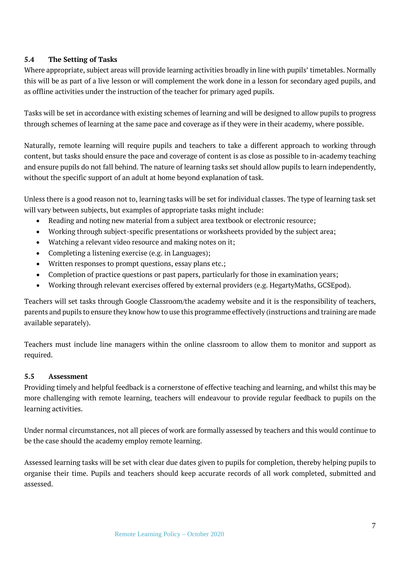#### **5.4 The Setting of Tasks**

Where appropriate, subject areas will provide learning activities broadly in line with pupils' timetables. Normally this will be as part of a live lesson or will complement the work done in a lesson for secondary aged pupils, and as offline activities under the instruction of the teacher for primary aged pupils.

Tasks will be set in accordance with existing schemes of learning and will be designed to allow pupils to progress through schemes of learning at the same pace and coverage as if they were in their academy, where possible.

Naturally, remote learning will require pupils and teachers to take a different approach to working through content, but tasks should ensure the pace and coverage of content is as close as possible to in-academy teaching and ensure pupils do not fall behind. The nature of learning tasks set should allow pupils to learn independently, without the specific support of an adult at home beyond explanation of task.

Unless there is a good reason not to, learning tasks will be set for individual classes. The type of learning task set will vary between subjects, but examples of appropriate tasks might include:

- Reading and noting new material from a subject area textbook or electronic resource;
- Working through subject-specific presentations or worksheets provided by the subject area;
- Watching a relevant video resource and making notes on it;
- Completing a listening exercise (e.g. in Languages);
- Written responses to prompt questions, essay plans etc.;
- Completion of practice questions or past papers, particularly for those in examination years;
- Working through relevant exercises offered by external providers (e.g. HegartyMaths, GCSEpod).

Teachers will set tasks through Google Classroom/the academy website and it is the responsibility of teachers, parents and pupils to ensure they know how to use this programme effectively (instructions and training are made available separately).

Teachers must include line managers within the online classroom to allow them to monitor and support as required.

#### **5.5 Assessment**

Providing timely and helpful feedback is a cornerstone of effective teaching and learning, and whilst this may be more challenging with remote learning, teachers will endeavour to provide regular feedback to pupils on the learning activities.

Under normal circumstances, not all pieces of work are formally assessed by teachers and this would continue to be the case should the academy employ remote learning.

Assessed learning tasks will be set with clear due dates given to pupils for completion, thereby helping pupils to organise their time. Pupils and teachers should keep accurate records of all work completed, submitted and assessed.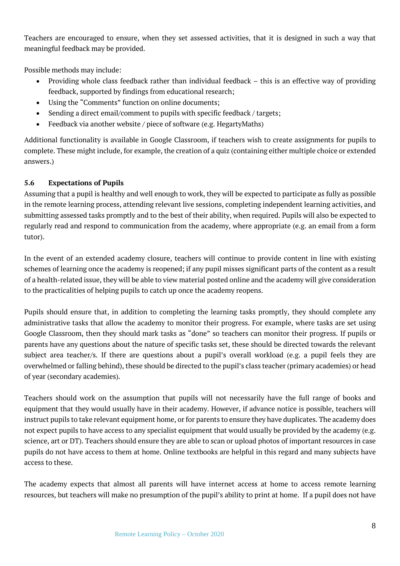Teachers are encouraged to ensure, when they set assessed activities, that it is designed in such a way that meaningful feedback may be provided.

Possible methods may include:

- Providing whole class feedback rather than individual feedback this is an effective way of providing feedback, supported by findings from educational research;
- Using the "Comments" function on online documents;
- Sending a direct email/comment to pupils with specific feedback / targets;
- Feedback via another website / piece of software (e.g. HegartyMaths)

Additional functionality is available in Google Classroom, if teachers wish to create assignments for pupils to complete. These might include, for example, the creation of a quiz (containing either multiple choice or extended answers.)

#### **5.6 Expectations of Pupils**

Assuming that a pupil is healthy and well enough to work, they will be expected to participate as fully as possible in the remote learning process, attending relevant live sessions, completing independent learning activities, and submitting assessed tasks promptly and to the best of their ability, when required. Pupils will also be expected to regularly read and respond to communication from the academy, where appropriate (e.g. an email from a form tutor).

In the event of an extended academy closure, teachers will continue to provide content in line with existing schemes of learning once the academy is reopened; if any pupil misses significant parts of the content as a result of a health-related issue, they will be able to view material posted online and the academy will give consideration to the practicalities of helping pupils to catch up once the academy reopens.

Pupils should ensure that, in addition to completing the learning tasks promptly, they should complete any administrative tasks that allow the academy to monitor their progress. For example, where tasks are set using Google Classroom, then they should mark tasks as "done" so teachers can monitor their progress. If pupils or parents have any questions about the nature of specific tasks set, these should be directed towards the relevant subject area teacher/s. If there are questions about a pupil's overall workload (e.g. a pupil feels they are overwhelmed or falling behind), these should be directed to the pupil's class teacher (primary academies) or head of year (secondary academies).

Teachers should work on the assumption that pupils will not necessarily have the full range of books and equipment that they would usually have in their academy. However, if advance notice is possible, teachers will instruct pupils to take relevant equipment home, or for parents to ensure they have duplicates. The academy does not expect pupils to have access to any specialist equipment that would usually be provided by the academy (e.g. science, art or DT). Teachers should ensure they are able to scan or upload photos of important resources in case pupils do not have access to them at home. Online textbooks are helpful in this regard and many subjects have access to these.

The academy expects that almost all parents will have internet access at home to access remote learning resources, but teachers will make no presumption of the pupil's ability to print at home. If a pupil does not have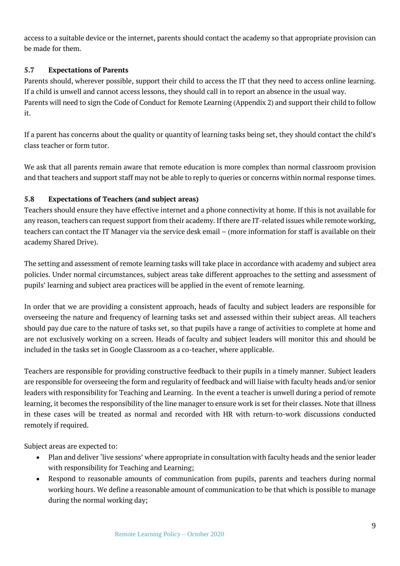access to a suitable device or the internet, parents should contact the academy so that appropriate provision can be made for them.

#### **5.7 Expectations of Parents**

Parents should, wherever possible, support their child to access the IT that they need to access online learning. If a child is unwell and cannot access lessons, they should call in to report an absence in the usual way. Parents will need to sign the Code of Conduct for Remote Learning (Appendix 2) and support their child to follow it.

If a parent has concerns about the quality or quantity of learning tasks being set, they should contact the child's class teacher or form tutor.

We ask that all parents remain aware that remote education is more complex than normal classroom provision and that teachers and support staff may not be able to reply to queries or concerns within normal response times.

#### **5.8 Expectations of Teachers (and subject areas)**

Teachers should ensure they have effective internet and a phone connectivity at home. If this is not available for any reason, teachers can request support from their academy. If there are IT-related issues while remote working, teachers can contact the IT Manager via the service desk email – (more information for staff is available on their academy Shared Drive).

The setting and assessment of remote learning tasks will take place in accordance with academy and subject area policies. Under normal circumstances, subject areas take different approaches to the setting and assessment of pupils' learning and subject area practices will be applied in the event of remote learning.

In order that we are providing a consistent approach, heads of faculty and subject leaders are responsible for overseeing the nature and frequency of learning tasks set and assessed within their subject areas. All teachers should pay due care to the nature of tasks set, so that pupils have a range of activities to complete at home and are not exclusively working on a screen. Heads of faculty and subject leaders will monitor this and should be included in the tasks set in Google Classroom as a co-teacher, where applicable.

Teachers are responsible for providing constructive feedback to their pupils in a timely manner. Subject leaders are responsible for overseeing the form and regularity of feedback and will liaise with faculty heads and/or senior leaders with responsibility for Teaching and Learning. In the event a teacher is unwell during a period of remote learning, it becomes the responsibility of the line manager to ensure work is set for their classes. Note that illness in these cases will be treated as normal and recorded with HR with return-to-work discussions conducted remotely if required.

Subject areas are expected to:

- Plan and deliver 'live sessions' where appropriate in consultation with faculty heads and the senior leader with responsibility for Teaching and Learning;
- Respond to reasonable amounts of communication from pupils, parents and teachers during normal working hours. We define a reasonable amount of communication to be that which is possible to manage during the normal working day;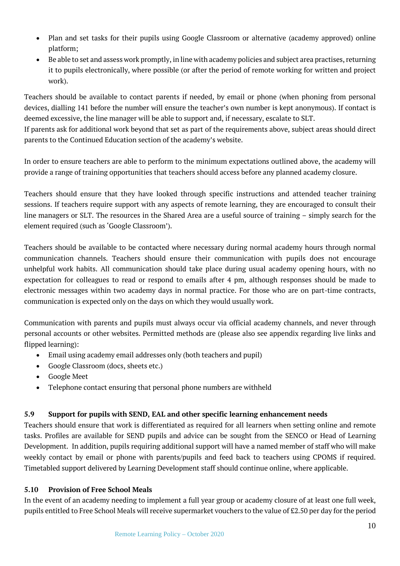- Plan and set tasks for their pupils using Google Classroom or alternative (academy approved) online platform;
- Be able to set and assess work promptly, in line with academy policies and subject area practises, returning it to pupils electronically, where possible (or after the period of remote working for written and project work).

Teachers should be available to contact parents if needed, by email or phone (when phoning from personal devices, dialling 141 before the number will ensure the teacher's own number is kept anonymous). If contact is deemed excessive, the line manager will be able to support and, if necessary, escalate to SLT.

If parents ask for additional work beyond that set as part of the requirements above, subject areas should direct parents to the Continued Education section of the academy's website.

In order to ensure teachers are able to perform to the minimum expectations outlined above, the academy will provide a range of training opportunities that teachers should access before any planned academy closure.

Teachers should ensure that they have looked through specific instructions and attended teacher training sessions. If teachers require support with any aspects of remote learning, they are encouraged to consult their line managers or SLT. The resources in the Shared Area are a useful source of training – simply search for the element required (such as 'Google Classroom').

Teachers should be available to be contacted where necessary during normal academy hours through normal communication channels. Teachers should ensure their communication with pupils does not encourage unhelpful work habits. All communication should take place during usual academy opening hours, with no expectation for colleagues to read or respond to emails after 4 pm, although responses should be made to electronic messages within two academy days in normal practice. For those who are on part-time contracts, communication is expected only on the days on which they would usually work.

Communication with parents and pupils must always occur via official academy channels, and never through personal accounts or other websites. Permitted methods are (please also see appendix regarding live links and flipped learning):

- Email using academy email addresses only (both teachers and pupil)
- Google Classroom (docs, sheets etc.)
- Google Meet
- Telephone contact ensuring that personal phone numbers are withheld

#### **5.9 Support for pupils with SEND, EAL and other specific learning enhancement needs**

Teachers should ensure that work is differentiated as required for all learners when setting online and remote tasks. Profiles are available for SEND pupils and advice can be sought from the SENCO or Head of Learning Development. In addition, pupils requiring additional support will have a named member of staff who will make weekly contact by email or phone with parents/pupils and feed back to teachers using CPOMS if required. Timetabled support delivered by Learning Development staff should continue online, where applicable.

#### **5.10 Provision of Free School Meals**

In the event of an academy needing to implement a full year group or academy closure of at least one full week, pupils entitled to Free School Meals will receive supermarket vouchers to the value of £2.50 per day for the period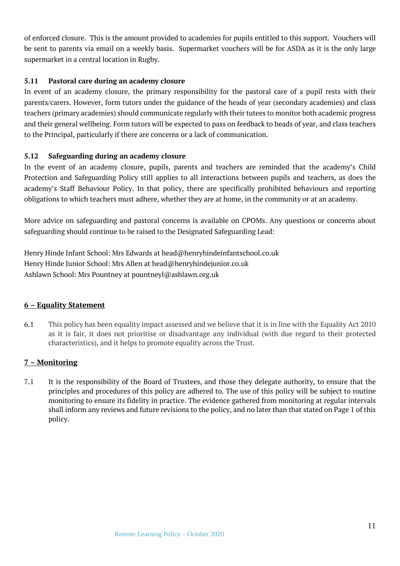of enforced closure. This is the amount provided to academies for pupils entitled to this support. Vouchers will be sent to parents via email on a weekly basis. Supermarket vouchers will be for ASDA as it is the only large supermarket in a central location in Rugby.

#### **5.11 Pastoral care during an academy closure**

In event of an academy closure, the primary responsibility for the pastoral care of a pupil rests with their parents/carers. However, form tutors under the guidance of the heads of year (secondary academies) and class teachers (primary academies) should communicate regularly with their tutees to monitor both academic progress and their general wellbeing. Form tutors will be expected to pass on feedback to heads of year, and class teachers to the Principal, particularly if there are concerns or a lack of communication.

#### **5.12 Safeguarding during an academy closure**

In the event of an academy closure, pupils, parents and teachers are reminded that the academy's Child Protection and Safeguarding Policy still applies to all interactions between pupils and teachers, as does the academy's Staff Behaviour Policy. In that policy, there are specifically prohibited behaviours and reporting obligations to which teachers must adhere, whether they are at home, in the community or at an academy.

More advice on safeguarding and pastoral concerns is available on CPOMs. Any questions or concerns about safeguarding should continue to be raised to the Designated Safeguarding Lead:

Henry Hinde Infant School: Mrs Edwards at head@henryhindeinfantschool.co.uk Henry Hinde Junior School: Mrs Allen at head@henryhindejunior.co.uk Ashlawn School: Mrs Pountney at pountneyl@ashlawn.org.uk

#### **6 – Equality Statement**

6.1 This policy has been equality impact assessed and we believe that it is in line with the Equality Act 2010 as it is fair, it does not prioritise or disadvantage any individual (with due regard to their protected characteristics), and it helps to promote equality across the Trust.

#### **7 – Monitoring**

7.1 It is the responsibility of the Board of Trustees, and those they delegate authority, to ensure that the principles and procedures of this policy are adhered to. The use of this policy will be subject to routine monitoring to ensure its fidelity in practice. The evidence gathered from monitoring at regular intervals shall inform any reviews and future revisions to the policy, and no later than that stated on Page 1 of this policy.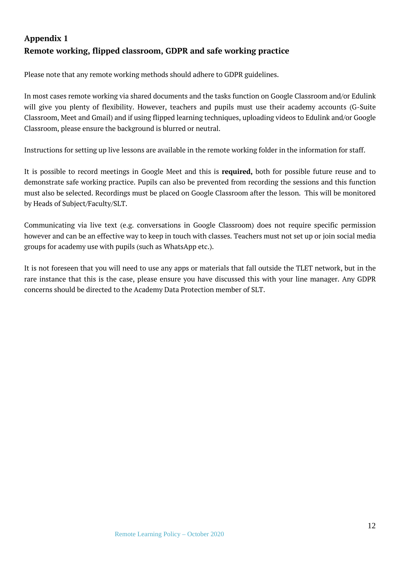#### **Appendix 1 Remote working, flipped classroom, GDPR and safe working practice**

Please note that any remote working methods should adhere to GDPR guidelines.

In most cases remote working via shared documents and the tasks function on Google Classroom and/or Edulink will give you plenty of flexibility. However, teachers and pupils must use their academy accounts (G-Suite Classroom, Meet and Gmail) and if using flipped learning techniques, uploading videos to Edulink and/or Google Classroom, please ensure the background is blurred or neutral.

Instructions for setting up live lessons are available in the remote working folder in the information for staff.

It is possible to record meetings in Google Meet and this is **required,** both for possible future reuse and to demonstrate safe working practice. Pupils can also be prevented from recording the sessions and this function must also be selected. Recordings must be placed on Google Classroom after the lesson. This will be monitored by Heads of Subject/Faculty/SLT.

Communicating via live text (e.g. conversations in Google Classroom) does not require specific permission however and can be an effective way to keep in touch with classes. Teachers must not set up or join social media groups for academy use with pupils (such as WhatsApp etc.).

It is not foreseen that you will need to use any apps or materials that fall outside the TLET network, but in the rare instance that this is the case, please ensure you have discussed this with your line manager. Any GDPR concerns should be directed to the Academy Data Protection member of SLT.